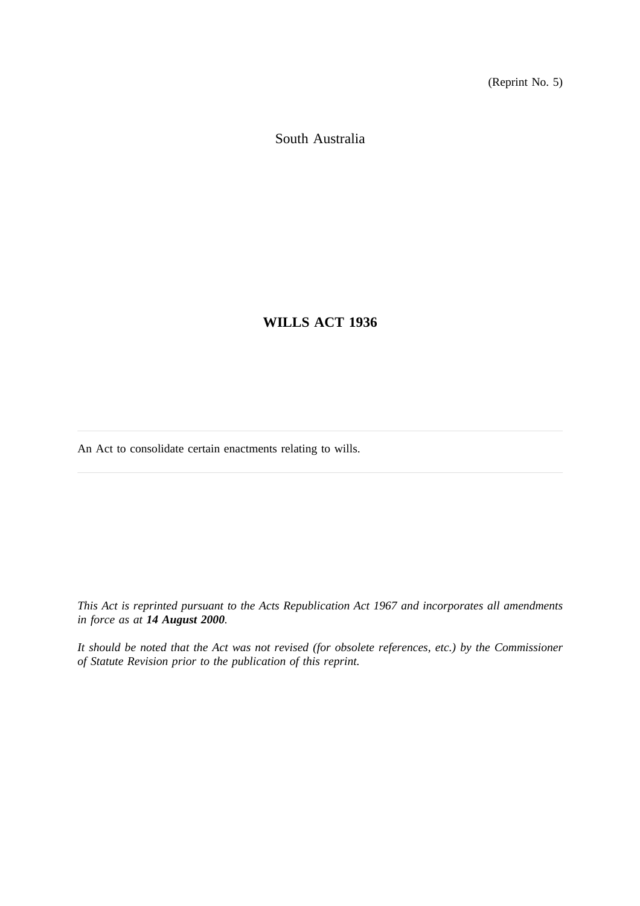(Reprint No. 5)

South Australia

**WILLS ACT 1936**

An Act to consolidate certain enactments relating to wills.

*This Act is reprinted pursuant to the Acts Republication Act 1967 and incorporates all amendments in force as at 14 August 2000.*

*It should be noted that the Act was not revised (for obsolete references, etc.) by the Commissioner of Statute Revision prior to the publication of this reprint.*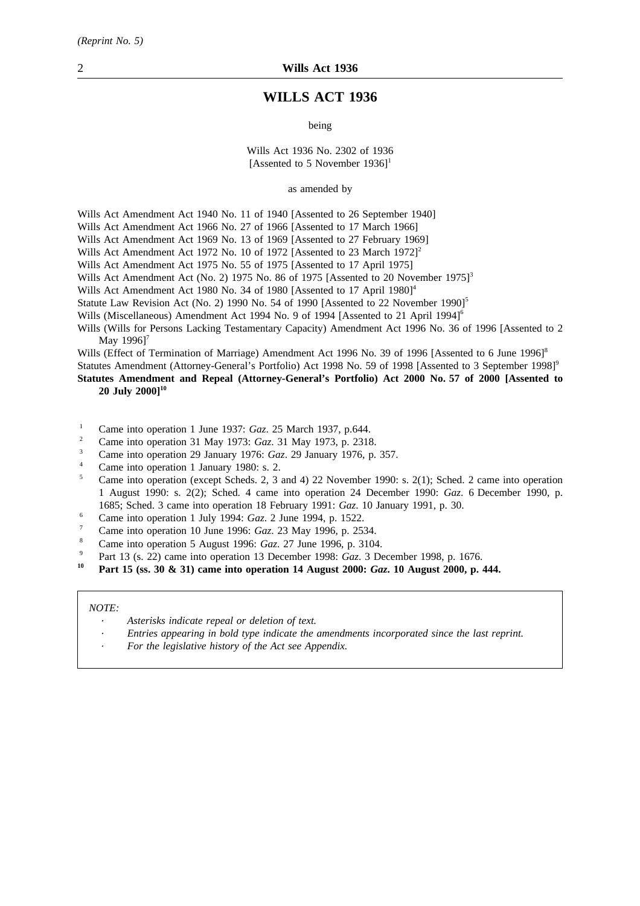# **WILLS ACT 1936**

being

#### Wills Act 1936 No. 2302 of 1936 [Assented to 5 November  $1936$ ]<sup>1</sup>

as amended by

Wills Act Amendment Act 1940 No. 11 of 1940 [Assented to 26 September 1940]

Wills Act Amendment Act 1966 No. 27 of 1966 [Assented to 17 March 1966]

Wills Act Amendment Act 1969 No. 13 of 1969 [Assented to 27 February 1969]

Wills Act Amendment Act 1972 No. 10 of 1972 [Assented to 23 March 1972]<sup>2</sup>

Wills Act Amendment Act 1975 No. 55 of 1975 [Assented to 17 April 1975]

Wills Act Amendment Act (No. 2) 1975 No. 86 of 1975 [Assented to 20 November 1975]<sup>3</sup>

Wills Act Amendment Act 1980 No. 34 of 1980 [Assented to 17 April 1980]<sup>4</sup>

Statute Law Revision Act (No. 2) 1990 No. 54 of 1990 [Assented to 22 November 1990]<sup>5</sup>

Wills (Miscellaneous) Amendment Act 1994 No. 9 of 1994 [Assented to 21 April 1994]<sup>6</sup>

Wills (Wills for Persons Lacking Testamentary Capacity) Amendment Act 1996 No. 36 of 1996 [Assented to 2 May 1996]<sup>7</sup>

Wills (Effect of Termination of Marriage) Amendment Act 1996 No. 39 of 1996 [Assented to 6 June 1996]<sup>8</sup>

Statutes Amendment (Attorney-General's Portfolio) Act 1998 No. 59 of 1998 [Assented to 3 September 1998]<sup>9</sup>

**Statutes Amendment and Repeal (Attorney-General's Portfolio) Act 2000 No. 57 of 2000 [Assented to 20 July 2000]10**

- <sup>1</sup> Came into operation 1 June 1937: *Gaz.* 25 March 1937, p.644.
- <sup>2</sup> Came into operation 31 May 1973: *Gaz*. 31 May 1973, p. 2318.<br><sup>3</sup> Came into operation 20 January 1976: *Caz*. 29 January 1976.
- <sup>3</sup> Came into operation 29 January 1976: *Gaz*. 29 January 1976, p. 357.
- Came into operation 1 January 1980: s. 2.
- <sup>5</sup> Came into operation (except Scheds. 2, 3 and 4) 22 November 1990: s. 2(1); Sched. 2 came into operation 1 August 1990: s. 2(2); Sched. 4 came into operation 24 December 1990: *Gaz*. 6 December 1990, p. 1685; Sched. 3 came into operation 18 February 1991: *Gaz*. 10 January 1991, p. 30.
- <sup>6</sup> Came into operation 1 July 1994: *Gaz*. 2 June 1994, p. 1522.
- <sup>7</sup> Came into operation 10 June 1996: *Gaz*. 23 May 1996, p. 2534.
- <sup>8</sup> Came into operation 5 August 1996: *Gaz*. 27 June 1996, p. 3104.
- <sup>9</sup> Part 13 (s. 22) came into operation 13 December 1998: *Gaz*. 3 December 1998, p. 1676.
- **<sup>10</sup> Part 15 (ss. 30 & 31) came into operation 14 August 2000:** *Gaz***. 10 August 2000, p. 444.**

#### *NOTE:*

- *Asterisks indicate repeal or deletion of text.*
- *Entries appearing in bold type indicate the amendments incorporated since the last reprint.*
- *For the legislative history of the Act see Appendix.*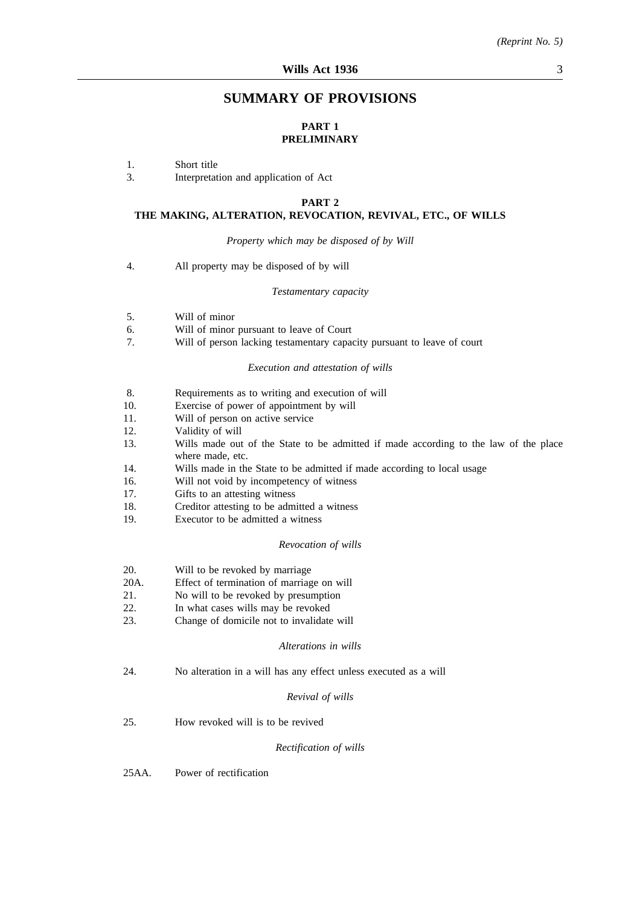# **SUMMARY OF PROVISIONS**

## **PART 1 PRELIMINARY**

- 1. Short title
- 3. Interpretation and application of Act

#### **PART 2**

#### **THE MAKING, ALTERATION, REVOCATION, REVIVAL, ETC., OF WILLS**

*Property which may be disposed of by Will*

4. All property may be disposed of by will

#### *Testamentary capacity*

- 5. Will of minor
- 6. Will of minor pursuant to leave of Court
- 7. Will of person lacking testamentary capacity pursuant to leave of court

#### *Execution and attestation of wills*

- 8. Requirements as to writing and execution of will
- 10. Exercise of power of appointment by will
- 11. Will of person on active service
- 12. Validity of will
- 13. Wills made out of the State to be admitted if made according to the law of the place where made, etc.
- 14. Wills made in the State to be admitted if made according to local usage
- 16. Will not void by incompetency of witness
- 17. Gifts to an attesting witness
- 18. Creditor attesting to be admitted a witness
- 19. Executor to be admitted a witness

#### *Revocation of wills*

- 20. Will to be revoked by marriage
- 20A. Effect of termination of marriage on will
- 21. No will to be revoked by presumption
- 22. In what cases wills may be revoked
- 23. Change of domicile not to invalidate will

#### *Alterations in wills*

24. No alteration in a will has any effect unless executed as a will

#### *Revival of wills*

25. How revoked will is to be revived

#### *Rectification of wills*

25AA. Power of rectification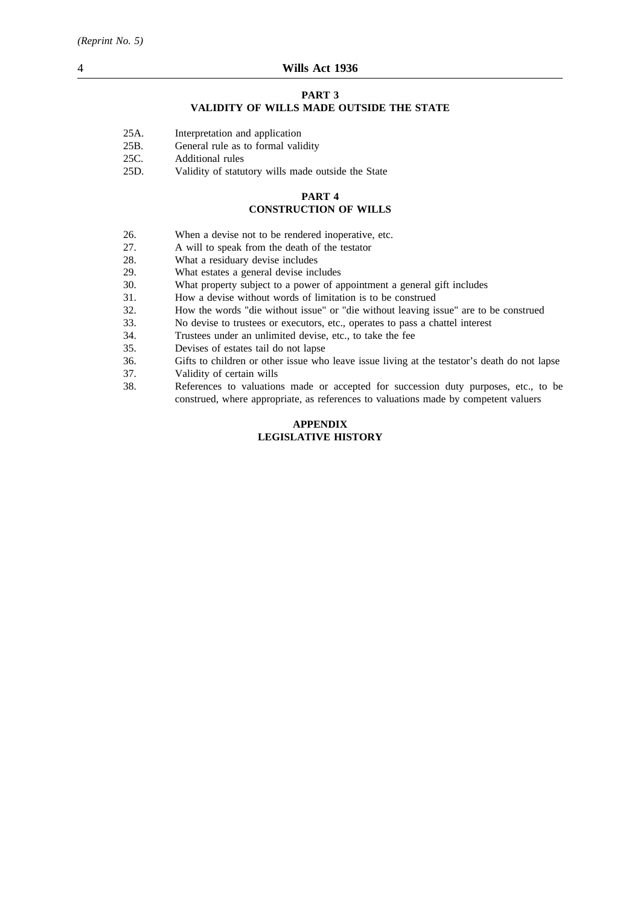## **PART 3**

## **VALIDITY OF WILLS MADE OUTSIDE THE STATE**

| 25A. | Interpretation and application |  |
|------|--------------------------------|--|
|      |                                |  |

- 25B. General rule as to formal validity
- 25C. Additional rules
- 25D. Validity of statutory wills made outside the State

#### **PART 4**

## **CONSTRUCTION OF WILLS**

- 26. When a devise not to be rendered inoperative, etc.
- 27. A will to speak from the death of the testator
- 28. What a residuary devise includes
- 29. What estates a general devise includes
- 30. What property subject to a power of appointment a general gift includes
- 31. How a devise without words of limitation is to be construed
- 32. How the words "die without issue" or "die without leaving issue" are to be construed
- 33. No devise to trustees or executors, etc., operates to pass a chattel interest
- 34. Trustees under an unlimited devise, etc., to take the fee
- 35. Devises of estates tail do not lapse
- 36. Gifts to children or other issue who leave issue living at the testator's death do not lapse
- 37. Validity of certain wills
- 38. References to valuations made or accepted for succession duty purposes, etc., to be construed, where appropriate, as references to valuations made by competent valuers

## **APPENDIX LEGISLATIVE HISTORY**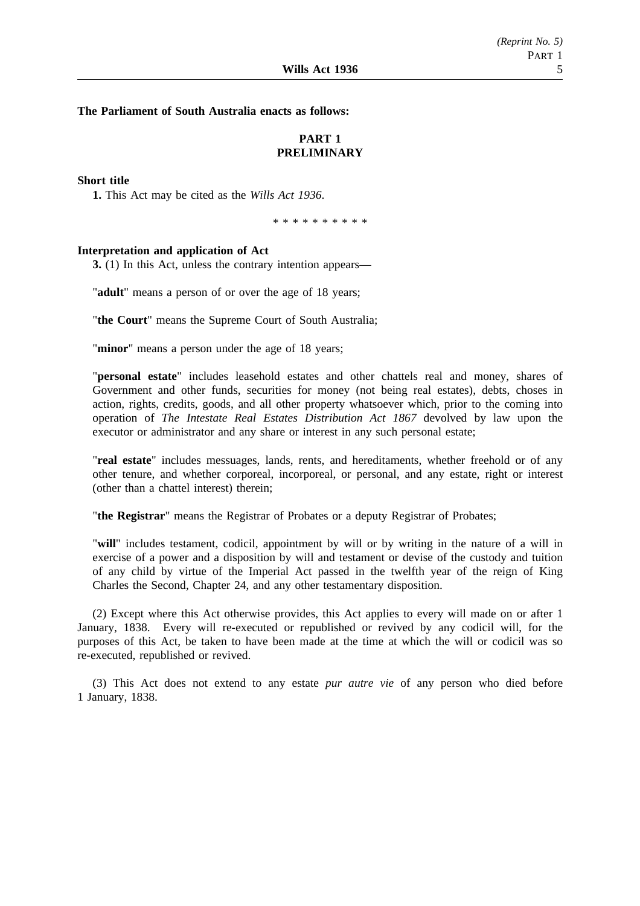**The Parliament of South Australia enacts as follows:**

# **PART 1 PRELIMINARY**

#### **Short title**

**1.** This Act may be cited as the *Wills Act 1936*.

\*\*\*\*\*\*\*\*\*\*

#### **Interpretation and application of Act**

**3.** (1) In this Act, unless the contrary intention appears—

"**adult**" means a person of or over the age of 18 years;

"**the Court**" means the Supreme Court of South Australia;

"**minor**" means a person under the age of 18 years;

"**personal estate**" includes leasehold estates and other chattels real and money, shares of Government and other funds, securities for money (not being real estates), debts, choses in action, rights, credits, goods, and all other property whatsoever which, prior to the coming into operation of *The Intestate Real Estates Distribution Act 1867* devolved by law upon the executor or administrator and any share or interest in any such personal estate;

"**real estate**" includes messuages, lands, rents, and hereditaments, whether freehold or of any other tenure, and whether corporeal, incorporeal, or personal, and any estate, right or interest (other than a chattel interest) therein;

"**the Registrar**" means the Registrar of Probates or a deputy Registrar of Probates;

"**will**" includes testament, codicil, appointment by will or by writing in the nature of a will in exercise of a power and a disposition by will and testament or devise of the custody and tuition of any child by virtue of the Imperial Act passed in the twelfth year of the reign of King Charles the Second, Chapter 24, and any other testamentary disposition.

(2) Except where this Act otherwise provides, this Act applies to every will made on or after 1 January, 1838. Every will re-executed or republished or revived by any codicil will, for the purposes of this Act, be taken to have been made at the time at which the will or codicil was so re-executed, republished or revived.

(3) This Act does not extend to any estate *pur autre vie* of any person who died before 1 January, 1838.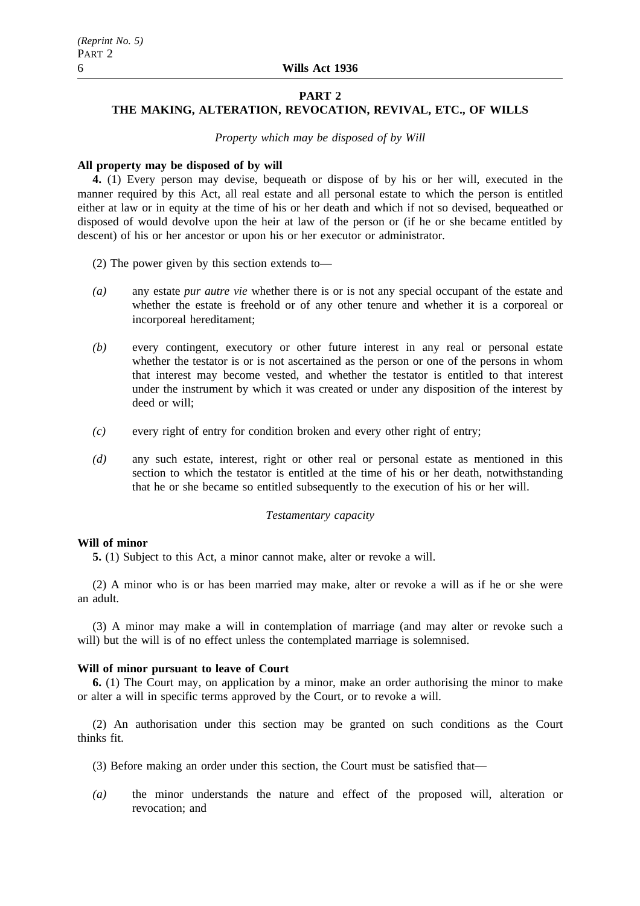## **PART 2**

# **THE MAKING, ALTERATION, REVOCATION, REVIVAL, ETC., OF WILLS**

*Property which may be disposed of by Will*

## **All property may be disposed of by will**

**4.** (1) Every person may devise, bequeath or dispose of by his or her will, executed in the manner required by this Act, all real estate and all personal estate to which the person is entitled either at law or in equity at the time of his or her death and which if not so devised, bequeathed or disposed of would devolve upon the heir at law of the person or (if he or she became entitled by descent) of his or her ancestor or upon his or her executor or administrator.

- (2) The power given by this section extends to—
- *(a)* any estate *pur autre vie* whether there is or is not any special occupant of the estate and whether the estate is freehold or of any other tenure and whether it is a corporeal or incorporeal hereditament;
- *(b)* every contingent, executory or other future interest in any real or personal estate whether the testator is or is not ascertained as the person or one of the persons in whom that interest may become vested, and whether the testator is entitled to that interest under the instrument by which it was created or under any disposition of the interest by deed or will;
- *(c)* every right of entry for condition broken and every other right of entry;
- *(d)* any such estate, interest, right or other real or personal estate as mentioned in this section to which the testator is entitled at the time of his or her death, notwithstanding that he or she became so entitled subsequently to the execution of his or her will.

# *Testamentary capacity*

## **Will of minor**

**5.** (1) Subject to this Act, a minor cannot make, alter or revoke a will.

(2) A minor who is or has been married may make, alter or revoke a will as if he or she were an adult.

(3) A minor may make a will in contemplation of marriage (and may alter or revoke such a will) but the will is of no effect unless the contemplated marriage is solemnised.

## **Will of minor pursuant to leave of Court**

**6.** (1) The Court may, on application by a minor, make an order authorising the minor to make or alter a will in specific terms approved by the Court, or to revoke a will.

(2) An authorisation under this section may be granted on such conditions as the Court thinks fit.

- (3) Before making an order under this section, the Court must be satisfied that—
- *(a)* the minor understands the nature and effect of the proposed will, alteration or revocation; and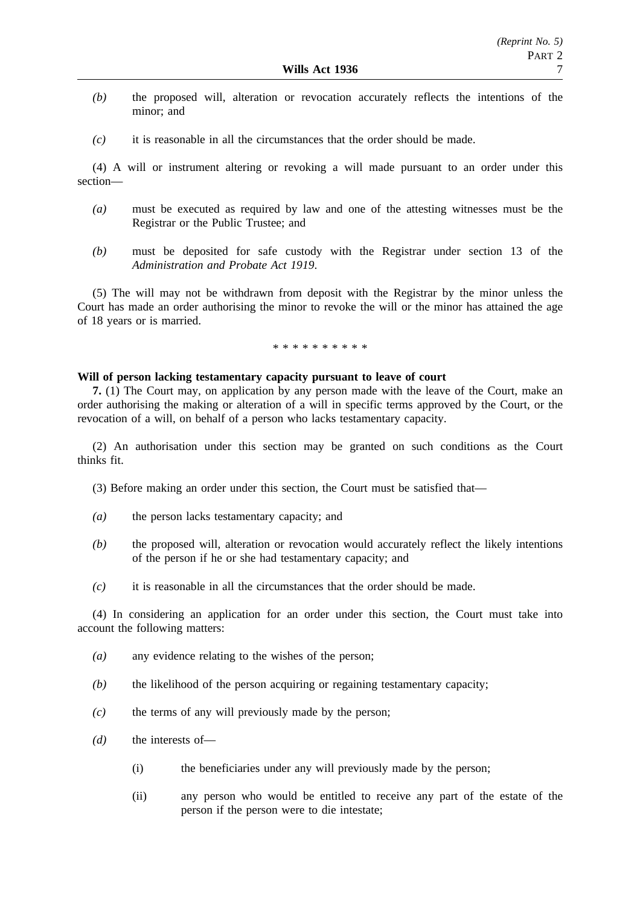- *(b)* the proposed will, alteration or revocation accurately reflects the intentions of the minor; and
- *(c)* it is reasonable in all the circumstances that the order should be made.

(4) A will or instrument altering or revoking a will made pursuant to an order under this section—

- *(a)* must be executed as required by law and one of the attesting witnesses must be the Registrar or the Public Trustee; and
- *(b)* must be deposited for safe custody with the Registrar under section 13 of the *Administration and Probate Act 1919*.

(5) The will may not be withdrawn from deposit with the Registrar by the minor unless the Court has made an order authorising the minor to revoke the will or the minor has attained the age of 18 years or is married.

#### \*\*\*\*\*\*\*\*\*\*

## **Will of person lacking testamentary capacity pursuant to leave of court**

**7.** (1) The Court may, on application by any person made with the leave of the Court, make an order authorising the making or alteration of a will in specific terms approved by the Court, or the revocation of a will, on behalf of a person who lacks testamentary capacity.

(2) An authorisation under this section may be granted on such conditions as the Court thinks fit.

- (3) Before making an order under this section, the Court must be satisfied that—
- *(a)* the person lacks testamentary capacity; and
- *(b)* the proposed will, alteration or revocation would accurately reflect the likely intentions of the person if he or she had testamentary capacity; and
- *(c)* it is reasonable in all the circumstances that the order should be made.

(4) In considering an application for an order under this section, the Court must take into account the following matters:

- *(a)* any evidence relating to the wishes of the person;
- *(b)* the likelihood of the person acquiring or regaining testamentary capacity;
- *(c)* the terms of any will previously made by the person;
- *(d)* the interests of—
	- (i) the beneficiaries under any will previously made by the person;
	- (ii) any person who would be entitled to receive any part of the estate of the person if the person were to die intestate;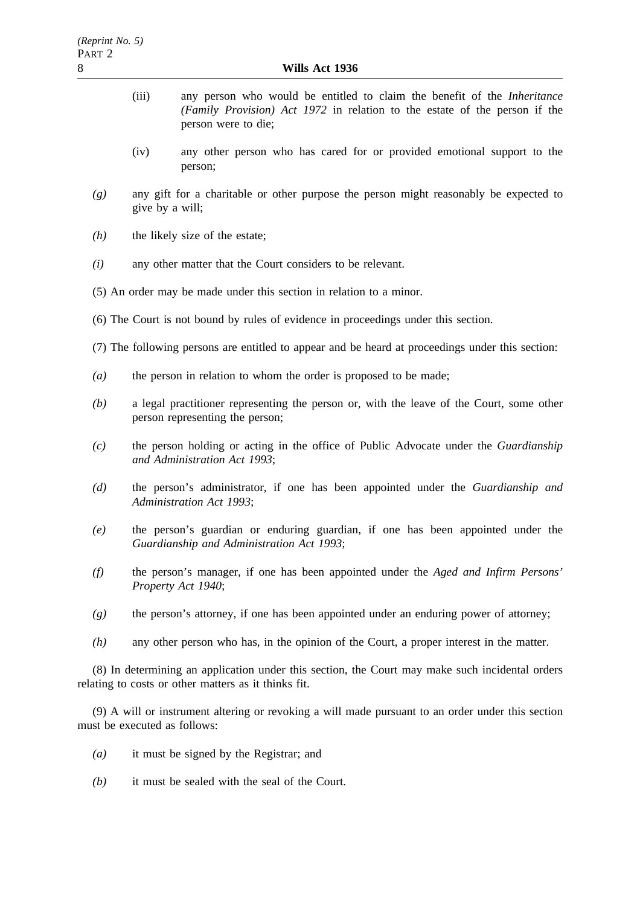- (iii) any person who would be entitled to claim the benefit of the *Inheritance (Family Provision) Act 1972* in relation to the estate of the person if the person were to die;
- (iv) any other person who has cared for or provided emotional support to the person;
- *(g)* any gift for a charitable or other purpose the person might reasonably be expected to give by a will;
- *(h)* the likely size of the estate;
- *(i)* any other matter that the Court considers to be relevant.
- (5) An order may be made under this section in relation to a minor.
- (6) The Court is not bound by rules of evidence in proceedings under this section.
- (7) The following persons are entitled to appear and be heard at proceedings under this section:
- *(a)* the person in relation to whom the order is proposed to be made;
- *(b)* a legal practitioner representing the person or, with the leave of the Court, some other person representing the person;
- *(c)* the person holding or acting in the office of Public Advocate under the *Guardianship and Administration Act 1993*;
- *(d)* the person's administrator, if one has been appointed under the *Guardianship and Administration Act 1993*;
- *(e)* the person's guardian or enduring guardian, if one has been appointed under the *Guardianship and Administration Act 1993*;
- *(f)* the person's manager, if one has been appointed under the *Aged and Infirm Persons' Property Act 1940*;
- *(g)* the person's attorney, if one has been appointed under an enduring power of attorney;
- *(h)* any other person who has, in the opinion of the Court, a proper interest in the matter.

(8) In determining an application under this section, the Court may make such incidental orders relating to costs or other matters as it thinks fit.

(9) A will or instrument altering or revoking a will made pursuant to an order under this section must be executed as follows:

- *(a)* it must be signed by the Registrar; and
- *(b)* it must be sealed with the seal of the Court.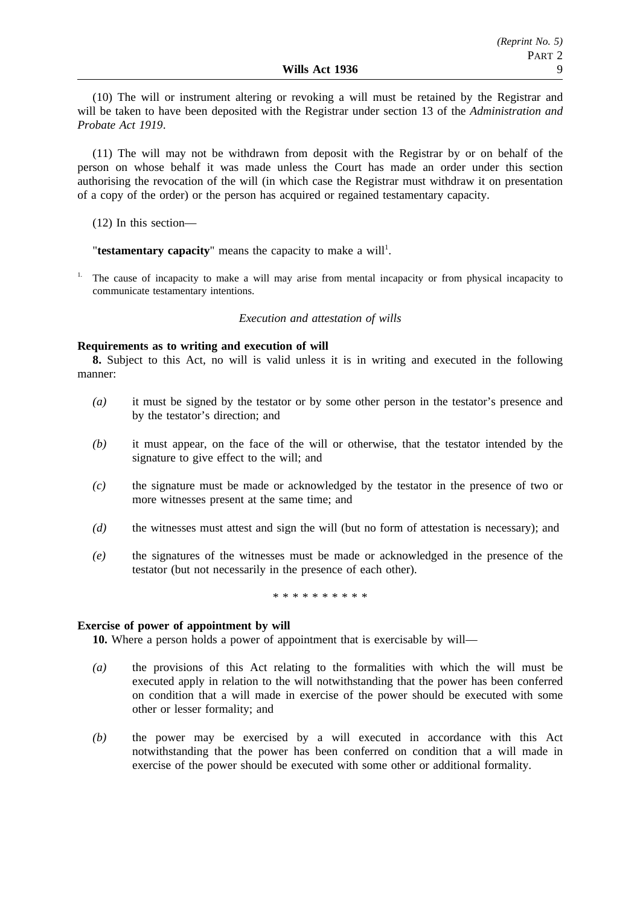(10) The will or instrument altering or revoking a will must be retained by the Registrar and will be taken to have been deposited with the Registrar under section 13 of the *Administration and Probate Act 1919*.

(11) The will may not be withdrawn from deposit with the Registrar by or on behalf of the person on whose behalf it was made unless the Court has made an order under this section authorising the revocation of the will (in which case the Registrar must withdraw it on presentation of a copy of the order) or the person has acquired or regained testamentary capacity.

(12) In this section—

"testamentary capacity" means the capacity to make a will<sup>1</sup>.

1. The cause of incapacity to make a will may arise from mental incapacity or from physical incapacity to communicate testamentary intentions.

## *Execution and attestation of wills*

## **Requirements as to writing and execution of will**

**8.** Subject to this Act, no will is valid unless it is in writing and executed in the following manner:

- *(a)* it must be signed by the testator or by some other person in the testator's presence and by the testator's direction; and
- *(b)* it must appear, on the face of the will or otherwise, that the testator intended by the signature to give effect to the will; and
- *(c)* the signature must be made or acknowledged by the testator in the presence of two or more witnesses present at the same time; and
- *(d)* the witnesses must attest and sign the will (but no form of attestation is necessary); and
- *(e)* the signatures of the witnesses must be made or acknowledged in the presence of the testator (but not necessarily in the presence of each other).

\*\*\*\*\*\*\*\*\*\*

## **Exercise of power of appointment by will**

**10.** Where a person holds a power of appointment that is exercisable by will—

- *(a)* the provisions of this Act relating to the formalities with which the will must be executed apply in relation to the will notwithstanding that the power has been conferred on condition that a will made in exercise of the power should be executed with some other or lesser formality; and
- *(b)* the power may be exercised by a will executed in accordance with this Act notwithstanding that the power has been conferred on condition that a will made in exercise of the power should be executed with some other or additional formality.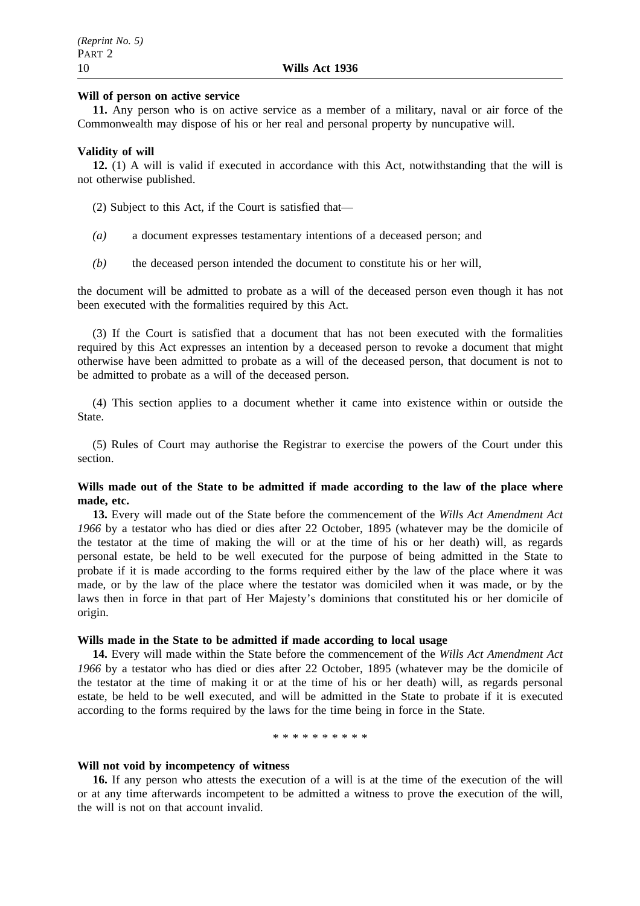## **Will of person on active service**

**11.** Any person who is on active service as a member of a military, naval or air force of the Commonwealth may dispose of his or her real and personal property by nuncupative will.

## **Validity of will**

**12.** (1) A will is valid if executed in accordance with this Act, notwithstanding that the will is not otherwise published.

(2) Subject to this Act, if the Court is satisfied that—

- *(a)* a document expresses testamentary intentions of a deceased person; and
- *(b)* the deceased person intended the document to constitute his or her will,

the document will be admitted to probate as a will of the deceased person even though it has not been executed with the formalities required by this Act.

(3) If the Court is satisfied that a document that has not been executed with the formalities required by this Act expresses an intention by a deceased person to revoke a document that might otherwise have been admitted to probate as a will of the deceased person, that document is not to be admitted to probate as a will of the deceased person.

(4) This section applies to a document whether it came into existence within or outside the State.

(5) Rules of Court may authorise the Registrar to exercise the powers of the Court under this section.

## **Wills made out of the State to be admitted if made according to the law of the place where made, etc.**

**13.** Every will made out of the State before the commencement of the *Wills Act Amendment Act 1966* by a testator who has died or dies after 22 October, 1895 (whatever may be the domicile of the testator at the time of making the will or at the time of his or her death) will, as regards personal estate, be held to be well executed for the purpose of being admitted in the State to probate if it is made according to the forms required either by the law of the place where it was made, or by the law of the place where the testator was domiciled when it was made, or by the laws then in force in that part of Her Majesty's dominions that constituted his or her domicile of origin.

#### **Wills made in the State to be admitted if made according to local usage**

**14.** Every will made within the State before the commencement of the *Wills Act Amendment Act 1966* by a testator who has died or dies after 22 October, 1895 (whatever may be the domicile of the testator at the time of making it or at the time of his or her death) will, as regards personal estate, be held to be well executed, and will be admitted in the State to probate if it is executed according to the forms required by the laws for the time being in force in the State.

#### \*\*\*\*\*\*\*\*\*\*

#### **Will not void by incompetency of witness**

**16.** If any person who attests the execution of a will is at the time of the execution of the will or at any time afterwards incompetent to be admitted a witness to prove the execution of the will, the will is not on that account invalid.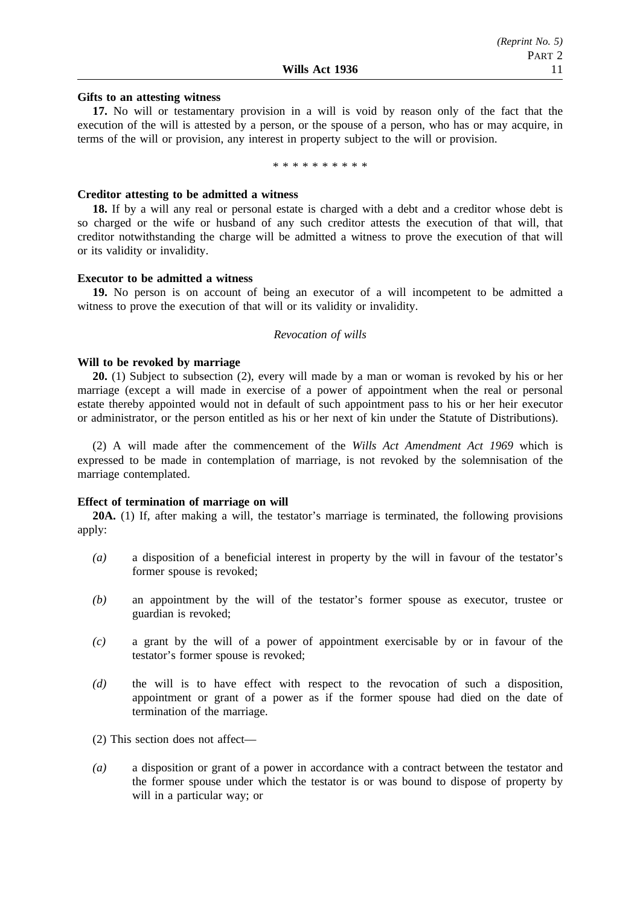# **Gifts to an attesting witness**

**17.** No will or testamentary provision in a will is void by reason only of the fact that the execution of the will is attested by a person, or the spouse of a person, who has or may acquire, in terms of the will or provision, any interest in property subject to the will or provision.

\*\*\*\*\*\*\*\*\*\*

## **Creditor attesting to be admitted a witness**

**18.** If by a will any real or personal estate is charged with a debt and a creditor whose debt is so charged or the wife or husband of any such creditor attests the execution of that will, that creditor notwithstanding the charge will be admitted a witness to prove the execution of that will or its validity or invalidity.

## **Executor to be admitted a witness**

**19.** No person is on account of being an executor of a will incompetent to be admitted a witness to prove the execution of that will or its validity or invalidity.

#### *Revocation of wills*

## **Will to be revoked by marriage**

**20.** (1) Subject to subsection (2), every will made by a man or woman is revoked by his or her marriage (except a will made in exercise of a power of appointment when the real or personal estate thereby appointed would not in default of such appointment pass to his or her heir executor or administrator, or the person entitled as his or her next of kin under the Statute of Distributions).

(2) A will made after the commencement of the *Wills Act Amendment Act 1969* which is expressed to be made in contemplation of marriage, is not revoked by the solemnisation of the marriage contemplated.

## **Effect of termination of marriage on will**

**20A.** (1) If, after making a will, the testator's marriage is terminated, the following provisions apply:

- *(a)* a disposition of a beneficial interest in property by the will in favour of the testator's former spouse is revoked;
- *(b)* an appointment by the will of the testator's former spouse as executor, trustee or guardian is revoked;
- *(c)* a grant by the will of a power of appointment exercisable by or in favour of the testator's former spouse is revoked;
- *(d)* the will is to have effect with respect to the revocation of such a disposition, appointment or grant of a power as if the former spouse had died on the date of termination of the marriage.

(2) This section does not affect—

*(a)* a disposition or grant of a power in accordance with a contract between the testator and the former spouse under which the testator is or was bound to dispose of property by will in a particular way; or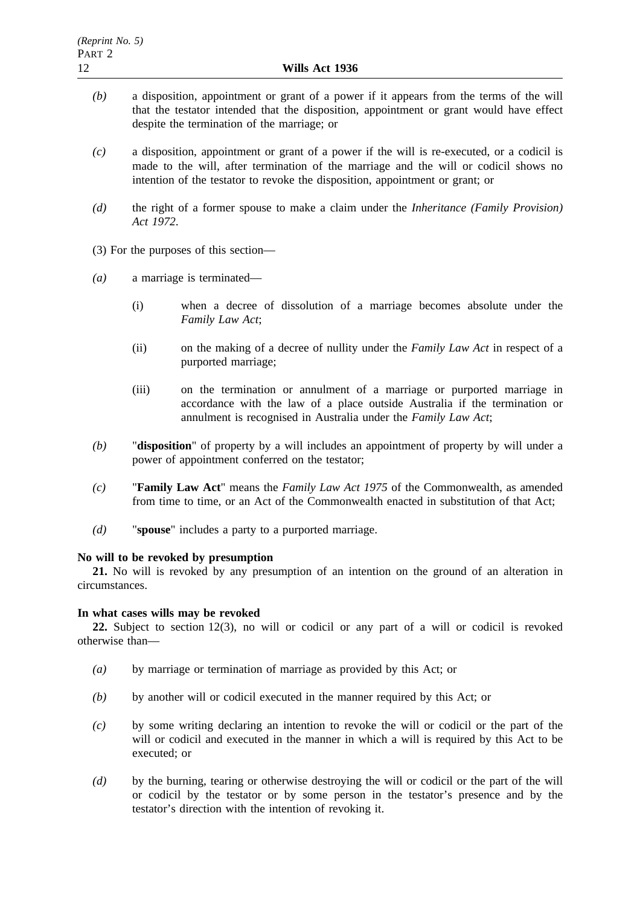- *(b)* a disposition, appointment or grant of a power if it appears from the terms of the will that the testator intended that the disposition, appointment or grant would have effect despite the termination of the marriage; or
- *(c)* a disposition, appointment or grant of a power if the will is re-executed, or a codicil is made to the will, after termination of the marriage and the will or codicil shows no intention of the testator to revoke the disposition, appointment or grant; or
- *(d)* the right of a former spouse to make a claim under the *Inheritance (Family Provision) Act 1972*.
- (3) For the purposes of this section—
- *(a)* a marriage is terminated—
	- (i) when a decree of dissolution of a marriage becomes absolute under the *Family Law Act*;
	- (ii) on the making of a decree of nullity under the *Family Law Act* in respect of a purported marriage;
	- (iii) on the termination or annulment of a marriage or purported marriage in accordance with the law of a place outside Australia if the termination or annulment is recognised in Australia under the *Family Law Act*;
- *(b)* "**disposition**" of property by a will includes an appointment of property by will under a power of appointment conferred on the testator;
- *(c)* "**Family Law Act**" means the *Family Law Act 1975* of the Commonwealth, as amended from time to time, or an Act of the Commonwealth enacted in substitution of that Act;
- *(d)* "**spouse**" includes a party to a purported marriage.

## **No will to be revoked by presumption**

**21.** No will is revoked by any presumption of an intention on the ground of an alteration in circumstances.

## **In what cases wills may be revoked**

**22.** Subject to section 12(3), no will or codicil or any part of a will or codicil is revoked otherwise than—

- *(a)* by marriage or termination of marriage as provided by this Act; or
- *(b)* by another will or codicil executed in the manner required by this Act; or
- *(c)* by some writing declaring an intention to revoke the will or codicil or the part of the will or codicil and executed in the manner in which a will is required by this Act to be executed; or
- *(d)* by the burning, tearing or otherwise destroying the will or codicil or the part of the will or codicil by the testator or by some person in the testator's presence and by the testator's direction with the intention of revoking it.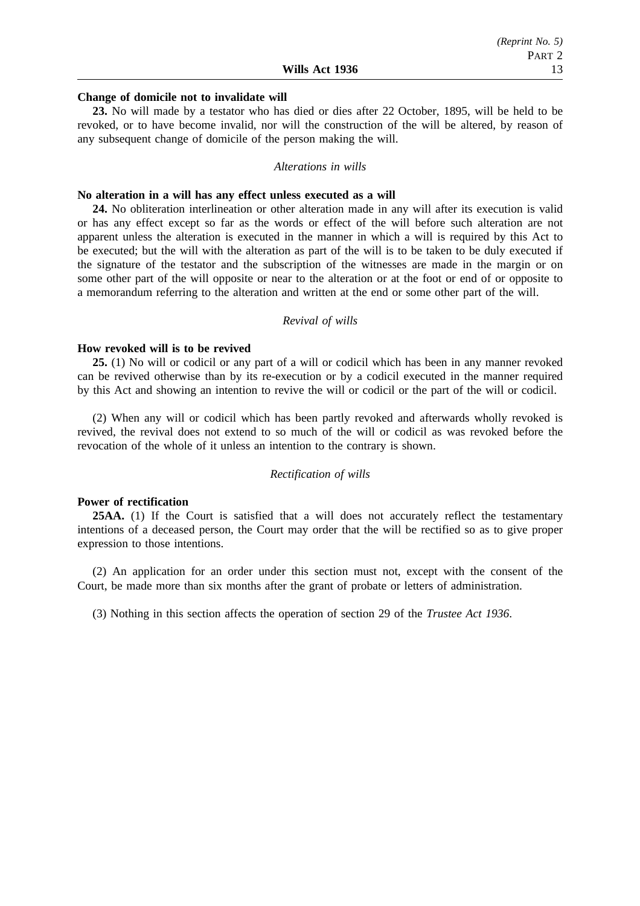# **Change of domicile not to invalidate will**

**23.** No will made by a testator who has died or dies after 22 October, 1895, will be held to be revoked, or to have become invalid, nor will the construction of the will be altered, by reason of any subsequent change of domicile of the person making the will.

#### *Alterations in wills*

#### **No alteration in a will has any effect unless executed as a will**

**24.** No obliteration interlineation or other alteration made in any will after its execution is valid or has any effect except so far as the words or effect of the will before such alteration are not apparent unless the alteration is executed in the manner in which a will is required by this Act to be executed; but the will with the alteration as part of the will is to be taken to be duly executed if the signature of the testator and the subscription of the witnesses are made in the margin or on some other part of the will opposite or near to the alteration or at the foot or end of or opposite to a memorandum referring to the alteration and written at the end or some other part of the will.

#### *Revival of wills*

## **How revoked will is to be revived**

**25.** (1) No will or codicil or any part of a will or codicil which has been in any manner revoked can be revived otherwise than by its re-execution or by a codicil executed in the manner required by this Act and showing an intention to revive the will or codicil or the part of the will or codicil.

(2) When any will or codicil which has been partly revoked and afterwards wholly revoked is revived, the revival does not extend to so much of the will or codicil as was revoked before the revocation of the whole of it unless an intention to the contrary is shown.

#### *Rectification of wills*

## **Power of rectification**

**25AA.** (1) If the Court is satisfied that a will does not accurately reflect the testamentary intentions of a deceased person, the Court may order that the will be rectified so as to give proper expression to those intentions.

(2) An application for an order under this section must not, except with the consent of the Court, be made more than six months after the grant of probate or letters of administration.

(3) Nothing in this section affects the operation of section 29 of the *Trustee Act 1936*.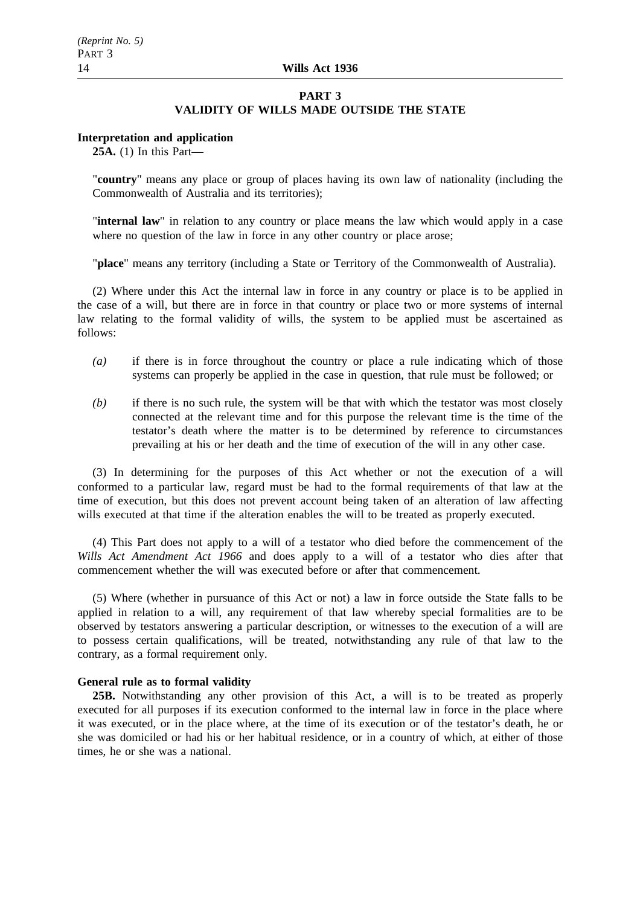#### **PART 3**

## **VALIDITY OF WILLS MADE OUTSIDE THE STATE**

#### **Interpretation and application**

**25A.** (1) In this Part—

"**country**" means any place or group of places having its own law of nationality (including the Commonwealth of Australia and its territories);

"**internal law**" in relation to any country or place means the law which would apply in a case where no question of the law in force in any other country or place arose;

"**place**" means any territory (including a State or Territory of the Commonwealth of Australia).

(2) Where under this Act the internal law in force in any country or place is to be applied in the case of a will, but there are in force in that country or place two or more systems of internal law relating to the formal validity of wills, the system to be applied must be ascertained as follows:

- *(a)* if there is in force throughout the country or place a rule indicating which of those systems can properly be applied in the case in question, that rule must be followed; or
- *(b)* if there is no such rule, the system will be that with which the testator was most closely connected at the relevant time and for this purpose the relevant time is the time of the testator's death where the matter is to be determined by reference to circumstances prevailing at his or her death and the time of execution of the will in any other case.

(3) In determining for the purposes of this Act whether or not the execution of a will conformed to a particular law, regard must be had to the formal requirements of that law at the time of execution, but this does not prevent account being taken of an alteration of law affecting wills executed at that time if the alteration enables the will to be treated as properly executed.

(4) This Part does not apply to a will of a testator who died before the commencement of the *Wills Act Amendment Act 1966* and does apply to a will of a testator who dies after that commencement whether the will was executed before or after that commencement.

(5) Where (whether in pursuance of this Act or not) a law in force outside the State falls to be applied in relation to a will, any requirement of that law whereby special formalities are to be observed by testators answering a particular description, or witnesses to the execution of a will are to possess certain qualifications, will be treated, notwithstanding any rule of that law to the contrary, as a formal requirement only.

#### **General rule as to formal validity**

**25B.** Notwithstanding any other provision of this Act, a will is to be treated as properly executed for all purposes if its execution conformed to the internal law in force in the place where it was executed, or in the place where, at the time of its execution or of the testator's death, he or she was domiciled or had his or her habitual residence, or in a country of which, at either of those times, he or she was a national.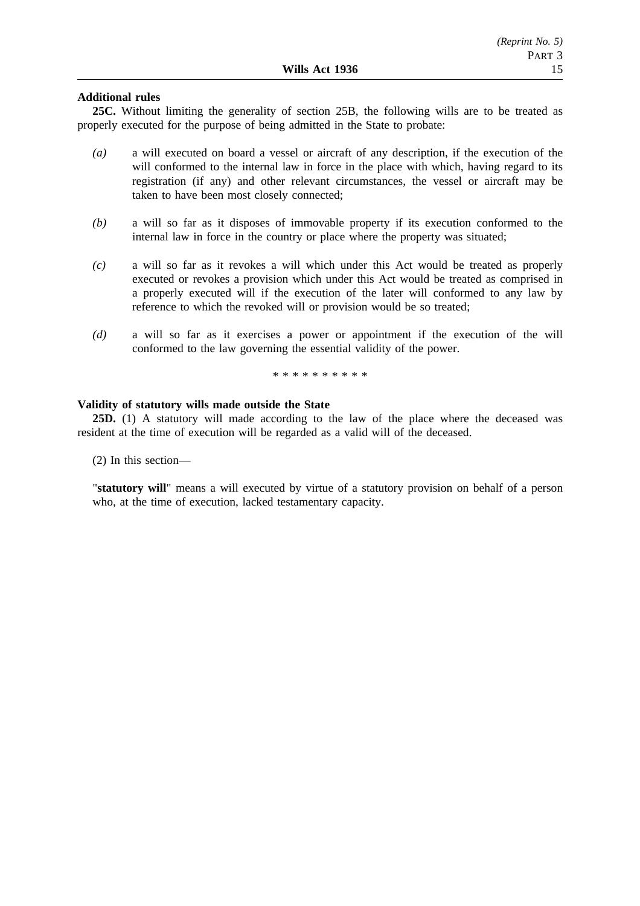## **Additional rules**

**25C.** Without limiting the generality of section 25B, the following wills are to be treated as properly executed for the purpose of being admitted in the State to probate:

- *(a)* a will executed on board a vessel or aircraft of any description, if the execution of the will conformed to the internal law in force in the place with which, having regard to its registration (if any) and other relevant circumstances, the vessel or aircraft may be taken to have been most closely connected;
- *(b)* a will so far as it disposes of immovable property if its execution conformed to the internal law in force in the country or place where the property was situated;
- *(c)* a will so far as it revokes a will which under this Act would be treated as properly executed or revokes a provision which under this Act would be treated as comprised in a properly executed will if the execution of the later will conformed to any law by reference to which the revoked will or provision would be so treated;
- *(d)* a will so far as it exercises a power or appointment if the execution of the will conformed to the law governing the essential validity of the power.

\*\*\*\*\*\*\*\*\*\*

## **Validity of statutory wills made outside the State**

**25D.** (1) A statutory will made according to the law of the place where the deceased was resident at the time of execution will be regarded as a valid will of the deceased.

(2) In this section—

"**statutory will**" means a will executed by virtue of a statutory provision on behalf of a person who, at the time of execution, lacked testamentary capacity.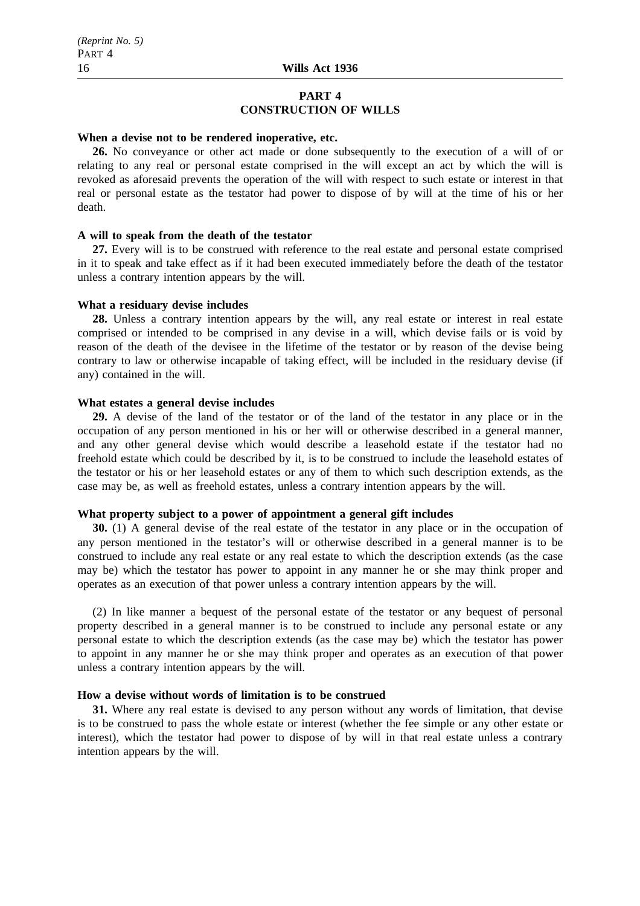## **PART 4 CONSTRUCTION OF WILLS**

#### **When a devise not to be rendered inoperative, etc.**

**26.** No conveyance or other act made or done subsequently to the execution of a will of or relating to any real or personal estate comprised in the will except an act by which the will is revoked as aforesaid prevents the operation of the will with respect to such estate or interest in that real or personal estate as the testator had power to dispose of by will at the time of his or her death.

#### **A will to speak from the death of the testator**

**27.** Every will is to be construed with reference to the real estate and personal estate comprised in it to speak and take effect as if it had been executed immediately before the death of the testator unless a contrary intention appears by the will.

#### **What a residuary devise includes**

**28.** Unless a contrary intention appears by the will, any real estate or interest in real estate comprised or intended to be comprised in any devise in a will, which devise fails or is void by reason of the death of the devisee in the lifetime of the testator or by reason of the devise being contrary to law or otherwise incapable of taking effect, will be included in the residuary devise (if any) contained in the will.

## **What estates a general devise includes**

**29.** A devise of the land of the testator or of the land of the testator in any place or in the occupation of any person mentioned in his or her will or otherwise described in a general manner, and any other general devise which would describe a leasehold estate if the testator had no freehold estate which could be described by it, is to be construed to include the leasehold estates of the testator or his or her leasehold estates or any of them to which such description extends, as the case may be, as well as freehold estates, unless a contrary intention appears by the will.

# **What property subject to a power of appointment a general gift includes**

**30.** (1) A general devise of the real estate of the testator in any place or in the occupation of any person mentioned in the testator's will or otherwise described in a general manner is to be construed to include any real estate or any real estate to which the description extends (as the case may be) which the testator has power to appoint in any manner he or she may think proper and operates as an execution of that power unless a contrary intention appears by the will.

(2) In like manner a bequest of the personal estate of the testator or any bequest of personal property described in a general manner is to be construed to include any personal estate or any personal estate to which the description extends (as the case may be) which the testator has power to appoint in any manner he or she may think proper and operates as an execution of that power unless a contrary intention appears by the will.

## **How a devise without words of limitation is to be construed**

**31.** Where any real estate is devised to any person without any words of limitation, that devise is to be construed to pass the whole estate or interest (whether the fee simple or any other estate or interest), which the testator had power to dispose of by will in that real estate unless a contrary intention appears by the will.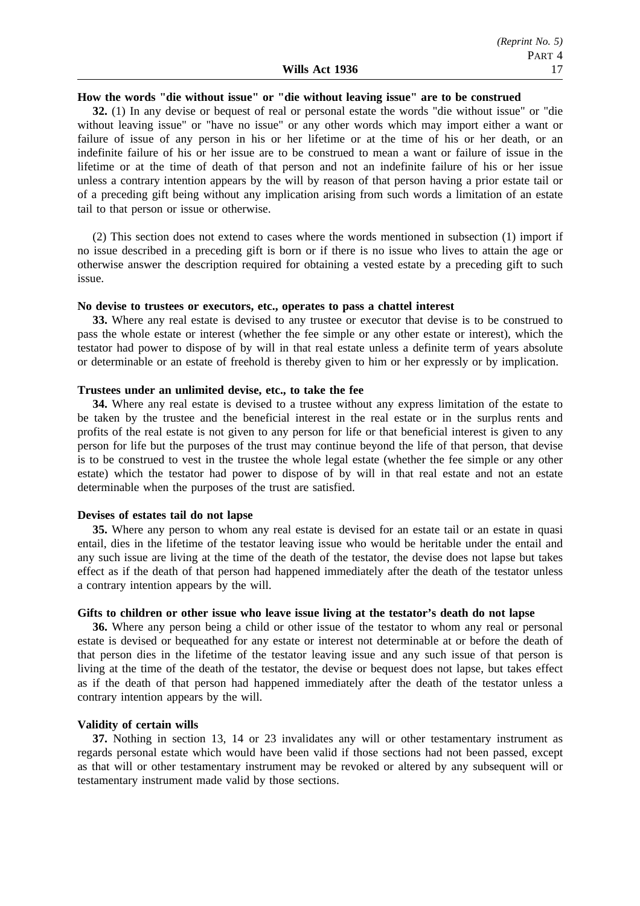#### **How the words "die without issue" or "die without leaving issue" are to be construed**

**32.** (1) In any devise or bequest of real or personal estate the words "die without issue" or "die without leaving issue" or "have no issue" or any other words which may import either a want or failure of issue of any person in his or her lifetime or at the time of his or her death, or an indefinite failure of his or her issue are to be construed to mean a want or failure of issue in the lifetime or at the time of death of that person and not an indefinite failure of his or her issue unless a contrary intention appears by the will by reason of that person having a prior estate tail or of a preceding gift being without any implication arising from such words a limitation of an estate tail to that person or issue or otherwise.

(2) This section does not extend to cases where the words mentioned in subsection (1) import if no issue described in a preceding gift is born or if there is no issue who lives to attain the age or otherwise answer the description required for obtaining a vested estate by a preceding gift to such issue.

#### **No devise to trustees or executors, etc., operates to pass a chattel interest**

**33.** Where any real estate is devised to any trustee or executor that devise is to be construed to pass the whole estate or interest (whether the fee simple or any other estate or interest), which the testator had power to dispose of by will in that real estate unless a definite term of years absolute or determinable or an estate of freehold is thereby given to him or her expressly or by implication.

#### **Trustees under an unlimited devise, etc., to take the fee**

**34.** Where any real estate is devised to a trustee without any express limitation of the estate to be taken by the trustee and the beneficial interest in the real estate or in the surplus rents and profits of the real estate is not given to any person for life or that beneficial interest is given to any person for life but the purposes of the trust may continue beyond the life of that person, that devise is to be construed to vest in the trustee the whole legal estate (whether the fee simple or any other estate) which the testator had power to dispose of by will in that real estate and not an estate determinable when the purposes of the trust are satisfied.

#### **Devises of estates tail do not lapse**

**35.** Where any person to whom any real estate is devised for an estate tail or an estate in quasi entail, dies in the lifetime of the testator leaving issue who would be heritable under the entail and any such issue are living at the time of the death of the testator, the devise does not lapse but takes effect as if the death of that person had happened immediately after the death of the testator unless a contrary intention appears by the will.

#### **Gifts to children or other issue who leave issue living at the testator's death do not lapse**

**36.** Where any person being a child or other issue of the testator to whom any real or personal estate is devised or bequeathed for any estate or interest not determinable at or before the death of that person dies in the lifetime of the testator leaving issue and any such issue of that person is living at the time of the death of the testator, the devise or bequest does not lapse, but takes effect as if the death of that person had happened immediately after the death of the testator unless a contrary intention appears by the will.

#### **Validity of certain wills**

**37.** Nothing in section 13, 14 or 23 invalidates any will or other testamentary instrument as regards personal estate which would have been valid if those sections had not been passed, except as that will or other testamentary instrument may be revoked or altered by any subsequent will or testamentary instrument made valid by those sections.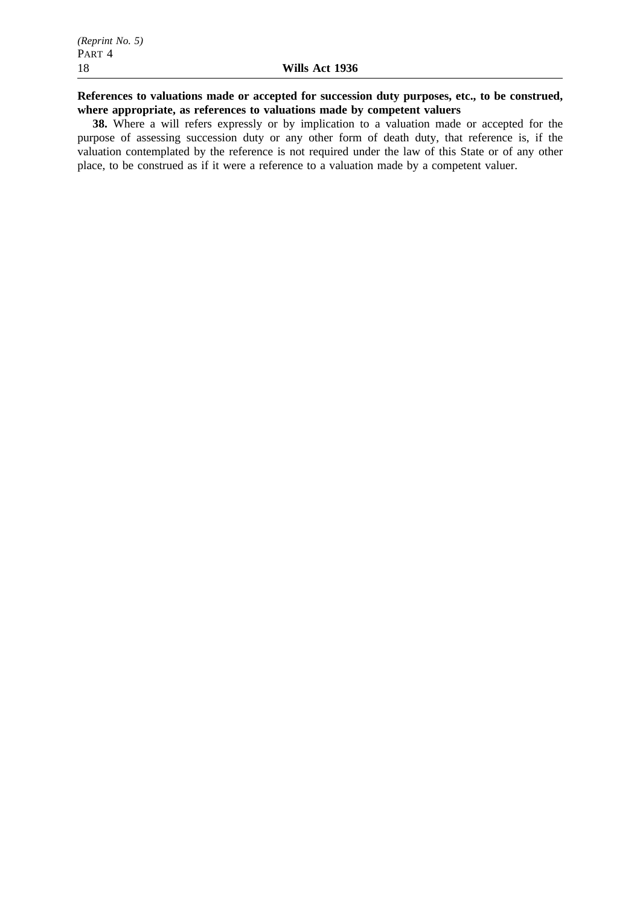# **References to valuations made or accepted for succession duty purposes, etc., to be construed, where appropriate, as references to valuations made by competent valuers**

**38.** Where a will refers expressly or by implication to a valuation made or accepted for the purpose of assessing succession duty or any other form of death duty, that reference is, if the valuation contemplated by the reference is not required under the law of this State or of any other place, to be construed as if it were a reference to a valuation made by a competent valuer.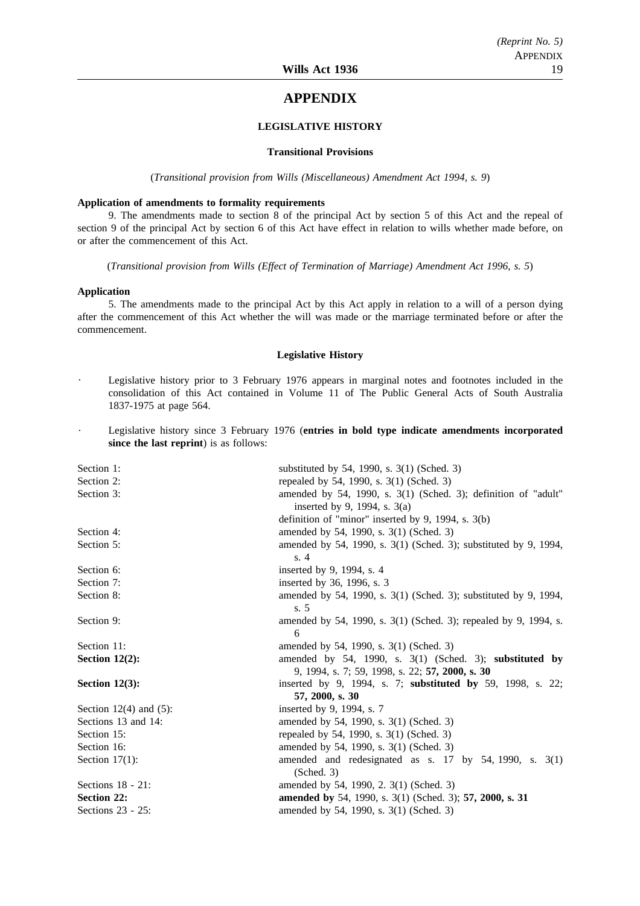# **APPENDIX**

#### **LEGISLATIVE HISTORY**

#### **Transitional Provisions**

(*Transitional provision from Wills (Miscellaneous) Amendment Act 1994, s. 9*)

#### **Application of amendments to formality requirements**

9. The amendments made to section 8 of the principal Act by section 5 of this Act and the repeal of section 9 of the principal Act by section 6 of this Act have effect in relation to wills whether made before, on or after the commencement of this Act.

(*Transitional provision from Wills (Effect of Termination of Marriage) Amendment Act 1996, s. 5*)

#### **Application**

5. The amendments made to the principal Act by this Act apply in relation to a will of a person dying after the commencement of this Act whether the will was made or the marriage terminated before or after the commencement.

#### **Legislative History**

- Legislative history prior to 3 February 1976 appears in marginal notes and footnotes included in the consolidation of this Act contained in Volume 11 of The Public General Acts of South Australia 1837-1975 at page 564.
- Legislative history since 3 February 1976 (**entries in bold type indicate amendments incorporated since the last reprint**) is as follows:

| Section 1:                  | substituted by 54, 1990, s. 3(1) (Sched. 3)                                    |  |
|-----------------------------|--------------------------------------------------------------------------------|--|
| Section 2:                  | repealed by 54, 1990, s. 3(1) (Sched. 3)                                       |  |
| Section 3:                  | amended by 54, 1990, s. 3(1) (Sched. 3); definition of "adult"                 |  |
|                             | inserted by 9, 1994, s. 3(a)                                                   |  |
|                             | definition of "minor" inserted by 9, 1994, s. 3(b)                             |  |
| Section 4:                  | amended by 54, 1990, s. 3(1) (Sched. 3)                                        |  |
| Section 5:                  | amended by 54, 1990, s. 3(1) (Sched. 3); substituted by 9, 1994,<br>s.4        |  |
| Section 6:                  | inserted by 9, 1994, s. 4                                                      |  |
| Section 7:                  | inserted by 36, 1996, s. 3                                                     |  |
| Section 8:                  | amended by 54, 1990, s. 3(1) (Sched. 3); substituted by 9, 1994,               |  |
|                             | s.5                                                                            |  |
| Section 9:                  | amended by 54, 1990, s. 3(1) (Sched. 3); repealed by 9, 1994, s.               |  |
|                             | 6                                                                              |  |
| Section 11:                 | amended by 54, 1990, s. 3(1) (Sched. 3)                                        |  |
| Section $12(2)$ :           | amended by 54, 1990, s. $3(1)$ (Sched. 3); substituted by                      |  |
|                             | 9, 1994, s. 7; 59, 1998, s. 22; 57, 2000, s. 30                                |  |
| Section $12(3)$ :           | inserted by 9, 1994, s. 7; substituted by 59, 1998, s. 22;                     |  |
|                             | 57, 2000, s. 30                                                                |  |
| Section $12(4)$ and $(5)$ : | inserted by 9, 1994, s. 7                                                      |  |
| Sections 13 and 14:         | amended by 54, 1990, s. 3(1) (Sched. 3)                                        |  |
| Section 15:                 | repealed by 54, 1990, s. 3(1) (Sched. 3)                                       |  |
| Section 16:                 | amended by 54, 1990, s. 3(1) (Sched. 3)                                        |  |
| Section $17(1)$ :           | amended and redesignated as s. $17$ by $54$ , $1990$ , s. $3(1)$<br>(Sched. 3) |  |
| Sections $18 - 21$ :        | amended by 54, 1990, 2. 3(1) (Sched. 3)                                        |  |
| <b>Section 22:</b>          | amended by 54, 1990, s. 3(1) (Sched. 3); 57, 2000, s. 31                       |  |
| Sections $23 - 25$ :        | amended by 54, 1990, s. 3(1) (Sched. 3)                                        |  |
|                             |                                                                                |  |